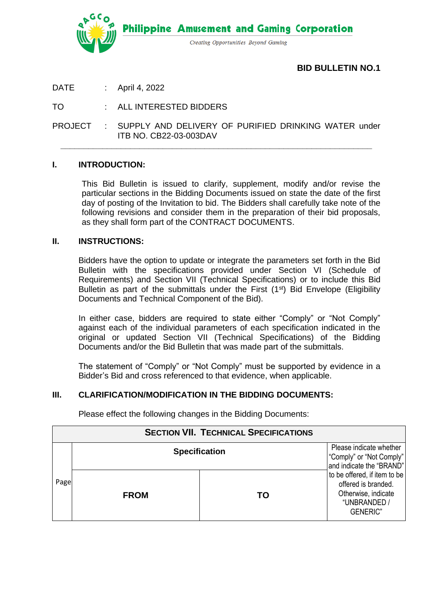

**Philippine Amusement and Gaming Corporation** 

Creating Opportunities Beyond Gaming

**BID BULLETIN NO.1**

DATE : April 4, 2022

TO : ALL INTERESTED BIDDERS

PROJECT : SUPPLY AND DELIVERY OF PURIFIED DRINKING WATER under ITB NO. CB22-03-003DAV

**\_\_\_\_\_\_\_\_\_\_\_\_\_\_\_\_\_\_\_\_\_\_\_\_\_\_\_\_\_\_\_\_\_\_\_\_\_\_\_\_\_\_\_\_\_\_\_\_\_\_\_\_\_\_\_\_\_\_\_\_\_\_\_\_\_\_\_**

### **I. INTRODUCTION:**

This Bid Bulletin is issued to clarify, supplement, modify and/or revise the particular sections in the Bidding Documents issued on state the date of the first day of posting of the Invitation to bid. The Bidders shall carefully take note of the following revisions and consider them in the preparation of their bid proposals, as they shall form part of the CONTRACT DOCUMENTS.

#### **II. INSTRUCTIONS:**

Bidders have the option to update or integrate the parameters set forth in the Bid Bulletin with the specifications provided under Section VI (Schedule of Requirements) and Section VII (Technical Specifications) or to include this Bid Bulletin as part of the submittals under the First  $(1<sup>st</sup>)$  Bid Envelope (Eligibility Documents and Technical Component of the Bid).

In either case, bidders are required to state either "Comply" or "Not Comply" against each of the individual parameters of each specification indicated in the original or updated Section VII (Technical Specifications) of the Bidding Documents and/or the Bid Bulletin that was made part of the submittals.

The statement of "Comply" or "Not Comply" must be supported by evidence in a Bidder's Bid and cross referenced to that evidence, when applicable.

### **III. CLARIFICATION/MODIFICATION IN THE BIDDING DOCUMENTS:**

| <b>SECTION VII. TECHNICAL SPECIFICATIONS</b> |                      |    |                                                                                                               |
|----------------------------------------------|----------------------|----|---------------------------------------------------------------------------------------------------------------|
| Page                                         | <b>Specification</b> |    | Please indicate whether<br>"Comply" or "Not Comply"<br>and indicate the "BRAND"                               |
|                                              | <b>FROM</b>          | TΟ | to be offered, if item to be<br>offered is branded.<br>Otherwise, indicate<br>"UNBRANDED /<br><b>GENERIC"</b> |

Please effect the following changes in the Bidding Documents: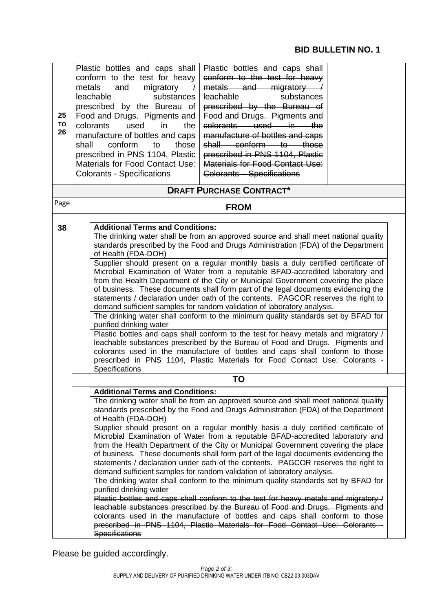# **BID BULLETIN NO. 1**

| 25<br><b>TO</b><br>26 | Plastic bottles and caps shall<br>Plastic bottles and caps shall<br>conform to the test for heavy<br>conform to the test for heavy<br>metals and migratory /<br>metals<br>and<br>migratory<br>substances<br>leachable<br>substances<br>leachable —<br>prescribed by the Bureau of<br>prescribed by the Bureau of<br>Food and Drugs. Pigments and<br>Food and Drugs. Pigments and<br>colorants used in the<br>colorants<br>used<br>in<br>the<br>manufacture of bottles and caps<br>manufacture of bottles and caps<br>shall conform to those<br>conform<br>to<br>those<br>shall<br>prescribed in PNS 1104, Plastic<br>prescribed in PNS 1104, Plastic<br>Materials for Food Contact Use:<br><b>Materials for Food Contact Use:</b><br><b>Colorants - Specifications</b><br><b>Colorants - Specifications</b>                                                                                                                                                                                                                                                                                                                                                                                                                            |  |  |
|-----------------------|----------------------------------------------------------------------------------------------------------------------------------------------------------------------------------------------------------------------------------------------------------------------------------------------------------------------------------------------------------------------------------------------------------------------------------------------------------------------------------------------------------------------------------------------------------------------------------------------------------------------------------------------------------------------------------------------------------------------------------------------------------------------------------------------------------------------------------------------------------------------------------------------------------------------------------------------------------------------------------------------------------------------------------------------------------------------------------------------------------------------------------------------------------------------------------------------------------------------------------------|--|--|
| Page                  | <b>DRAFT PURCHASE CONTRACT*</b>                                                                                                                                                                                                                                                                                                                                                                                                                                                                                                                                                                                                                                                                                                                                                                                                                                                                                                                                                                                                                                                                                                                                                                                                        |  |  |
|                       | <b>FROM</b>                                                                                                                                                                                                                                                                                                                                                                                                                                                                                                                                                                                                                                                                                                                                                                                                                                                                                                                                                                                                                                                                                                                                                                                                                            |  |  |
| 38                    | <b>Additional Terms and Conditions:</b><br>The drinking water shall be from an approved source and shall meet national quality<br>standards prescribed by the Food and Drugs Administration (FDA) of the Department<br>of Health (FDA-DOH)<br>Supplier should present on a regular monthly basis a duly certified certificate of<br>Microbial Examination of Water from a reputable BFAD-accredited laboratory and<br>from the Health Department of the City or Municipal Government covering the place<br>of business. These documents shall form part of the legal documents evidencing the<br>statements / declaration under oath of the contents. PAGCOR reserves the right to<br>demand sufficient samples for random validation of laboratory analysis.<br>The drinking water shall conform to the minimum quality standards set by BFAD for<br>purified drinking water<br>Plastic bottles and caps shall conform to the test for heavy metals and migratory /<br>leachable substances prescribed by the Bureau of Food and Drugs. Pigments and<br>colorants used in the manufacture of bottles and caps shall conform to those<br>prescribed in PNS 1104, Plastic Materials for Food Contact Use: Colorants -<br>Specifications |  |  |
|                       | <b>TO</b><br><b>Additional Terms and Conditions:</b>                                                                                                                                                                                                                                                                                                                                                                                                                                                                                                                                                                                                                                                                                                                                                                                                                                                                                                                                                                                                                                                                                                                                                                                   |  |  |
|                       | The drinking water shall be from an approved source and shall meet national quality<br>standards prescribed by the Food and Drugs Administration (FDA) of the Department<br>of Health (FDA-DOH)<br>Supplier should present on a regular monthly basis a duly certified certificate of<br>Microbial Examination of Water from a reputable BFAD-accredited laboratory and<br>from the Health Department of the City or Municipal Government covering the place<br>of business. These documents shall form part of the legal documents evidencing the<br>statements / declaration under oath of the contents. PAGCOR reserves the right to<br>demand sufficient samples for random validation of laboratory analysis.<br>The drinking water shall conform to the minimum quality standards set by BFAD for<br>purified drinking water<br>Plastic bottles and caps shall conform to the test for heavy metals and migratory /<br>leachable substances prescribed by the Bureau of Food and Drugs. Pigments and                                                                                                                                                                                                                             |  |  |
|                       | colorants used in the manufacture of bottles and caps shall conform to those<br>prescribed in PNS 1104, Plastic Materials for Food Contact Use: Colorants -<br><b>Specifications</b>                                                                                                                                                                                                                                                                                                                                                                                                                                                                                                                                                                                                                                                                                                                                                                                                                                                                                                                                                                                                                                                   |  |  |

Please be guided accordingly.